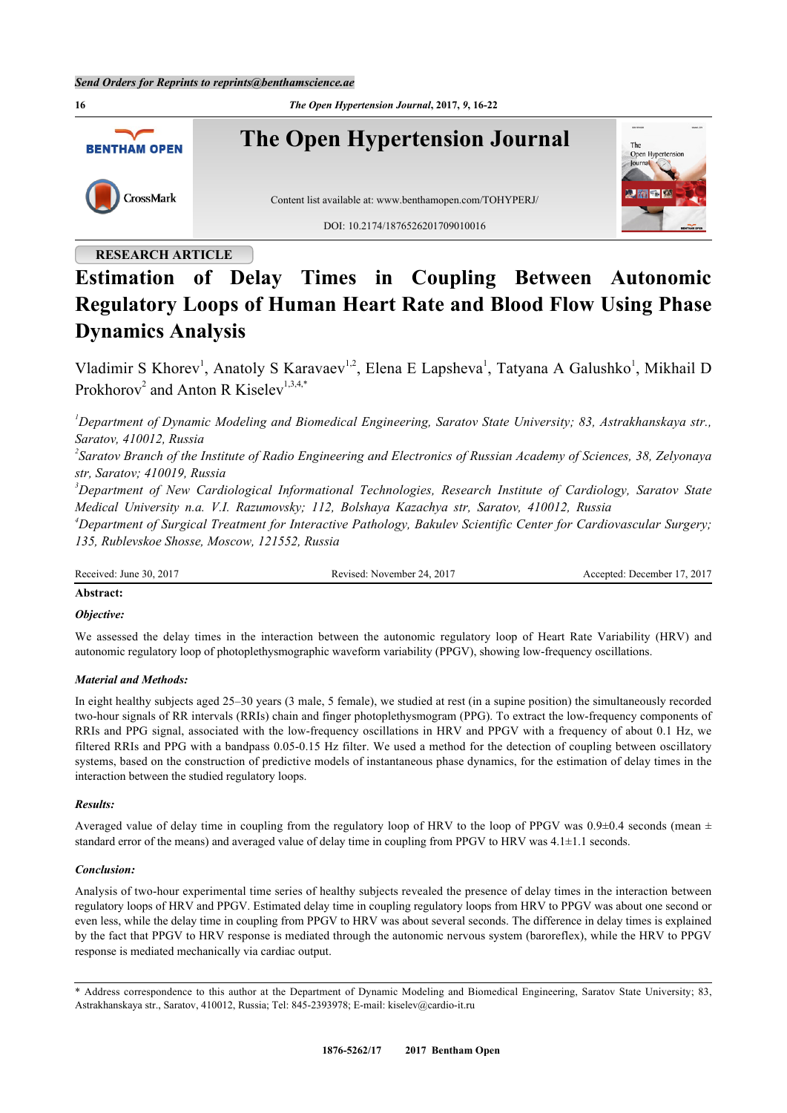

## **RESEARCH ARTICLE**

# **Estimation of Delay Times in Coupling Between Autonomic Regulatory Loops of Human Heart Rate and Blood Flow Using Phase Dynamics Analysis**

Vladimir S Khorev<sup>[1](#page-0-0)</sup>, Anatoly S Karavaev<sup>1[,2](#page-0-1)</sup>, Elena E Lapsheva<sup>1</sup>, Tatyana A Galushko<sup>1</sup>, Mikhail D Prokhorov<sup>[2](#page-0-1)</sup> and Anton R Kiselev<sup>[1,](#page-0-0)[3,](#page-0-2)[4](#page-0-3)[,\\*](#page-0-4)</sup>

<span id="page-0-0"></span>*<sup>1</sup>Department of Dynamic Modeling and Biomedical Engineering, Saratov State University; 83, Astrakhanskaya str., Saratov, 410012, Russia*

<span id="page-0-1"></span>*2 Saratov Branch of the Institute of Radio Engineering and Electronics of Russian Academy of Sciences, 38, Zelyonaya str, Saratov; 410019, Russia*

<span id="page-0-2"></span>*<sup>3</sup>Department of New Cardiological Informational Technologies, Research Institute of Cardiology, Saratov State Medical University n.a. V.I. Razumovsky; 112, Bolshaya Kazachya str, Saratov, 410012, Russia*

<span id="page-0-3"></span>*<sup>4</sup>Department of Surgical Treatment for Interactive Pathology, Bakulev Scientific Center for Cardiovascular Surgery; 135, Rublevskoe Shosse, Moscow, 121552, Russia*

Received: June 30, 2017 Revised: November 24, 2017 Accepted: December 17, 2017

## **Abstract:**

#### *Objective:*

We assessed the delay times in the interaction between the autonomic regulatory loop of Heart Rate Variability (HRV) and autonomic regulatory loop of photoplethysmographic waveform variability (PPGV), showing low-frequency oscillations.

## *Material and Methods:*

In eight healthy subjects aged 25–30 years (3 male, 5 female), we studied at rest (in a supine position) the simultaneously recorded two-hour signals of RR intervals (RRIs) chain and finger photoplethysmogram (PPG). To extract the low-frequency components of RRIs and PPG signal, associated with the low-frequency oscillations in HRV and PPGV with a frequency of about 0.1 Hz, we filtered RRIs and PPG with a bandpass 0.05-0.15 Hz filter. We used a method for the detection of coupling between oscillatory systems, based on the construction of predictive models of instantaneous phase dynamics, for the estimation of delay times in the interaction between the studied regulatory loops.

#### *Results:*

Averaged value of delay time in coupling from the regulatory loop of HRV to the loop of PPGV was 0.9±0.4 seconds (mean  $\pm$ standard error of the means) and averaged value of delay time in coupling from PPGV to HRV was 4.1±1.1 seconds.

#### *Conclusion:*

Analysis of two-hour experimental time series of healthy subjects revealed the presence of delay times in the interaction between regulatory loops of HRV and PPGV. Estimated delay time in coupling regulatory loops from HRV to PPGV was about one second or even less, while the delay time in coupling from PPGV to HRV was about several seconds. The difference in delay times is explained by the fact that PPGV to HRV response is mediated through the autonomic nervous system (baroreflex), while the HRV to PPGV response is mediated mechanically via cardiac output.

<span id="page-0-4"></span>\* Address correspondence to this author at the Department of Dynamic Modeling and Biomedical Engineering, Saratov State University; 83, Astrakhanskaya str., Saratov, 410012, Russia; Tel: 845-2393978; E-mail: [kiselev@cardio-it.ru](mailto:kiselev@cardio-it.ru)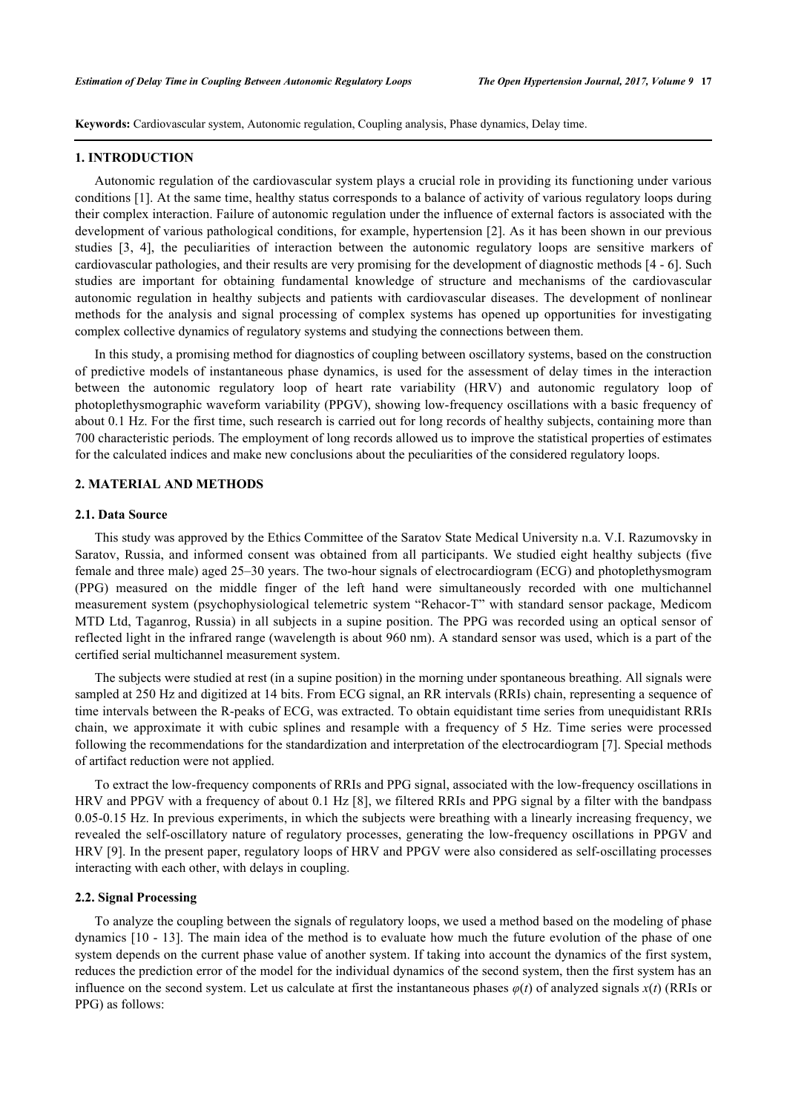**Keywords:** Cardiovascular system, Autonomic regulation, Coupling analysis, Phase dynamics, Delay time.

#### **1. INTRODUCTION**

Autonomic regulation of the cardiovascular system plays a crucial role in providing its functioning under various conditions [[1](#page-5-0)]. At the same time, healthy status corresponds to a balance of activity of various regulatory loops during their complex interaction. Failure of autonomic regulation under the influence of external factors is associated with the development of various pathological conditions, for example, hypertension [[2\]](#page-5-1). As it has been shown in our previous studies [\[3,](#page-5-2) [4](#page-5-3)], the peculiarities of interaction between the autonomic regulatory loops are sensitive markers of cardiovascular pathologies, and their results are very promising for the development of diagnostic methods [[4](#page-5-3) - [6](#page-5-4)]. Such studies are important for obtaining fundamental knowledge of structure and mechanisms of the cardiovascular autonomic regulation in healthy subjects and patients with cardiovascular diseases. The development of nonlinear methods for the analysis and signal processing of complex systems has opened up opportunities for investigating complex collective dynamics of regulatory systems and studying the connections between them.

In this study, a promising method for diagnostics of coupling between oscillatory systems, based on the construction of predictive models of instantaneous phase dynamics, is used for the assessment of delay times in the interaction between the autonomic regulatory loop of heart rate variability (HRV) and autonomic regulatory loop of photoplethysmographic waveform variability (PPGV), showing low-frequency oscillations with a basic frequency of about 0.1 Hz. For the first time, such research is carried out for long records of healthy subjects, containing more than 700 characteristic periods. The employment of long records allowed us to improve the statistical properties of estimates for the calculated indices and make new conclusions about the peculiarities of the considered regulatory loops.

## **2. MATERIAL AND METHODS**

#### **2.1. Data Source**

This study was approved by the Ethics Committee of the Saratov State Medical University n.a. V.I. Razumovsky in Saratov, Russia, and informed consent was obtained from all participants. We studied eight healthy subjects (five female and three male) aged 25–30 years. The two-hour signals of electrocardiogram (ECG) and photoplethysmogram (PPG) measured on the middle finger of the left hand were simultaneously recorded with one multichannel measurement system (psychophysiological telemetric system "Rehacor-T" with standard sensor package, Medicom MTD Ltd, Taganrog, Russia) in all subjects in a supine position. The PPG was recorded using an optical sensor of reflected light in the infrared range (wavelength is about 960 nm). A standard sensor was used, which is a part of the certified serial multichannel measurement system.

The subjects were studied at rest (in a supine position) in the morning under spontaneous breathing. All signals were sampled at 250 Hz and digitized at 14 bits. From ECG signal, an RR intervals (RRIs) chain, representing a sequence of time intervals between the R-peaks of ECG, was extracted. To obtain equidistant time series from unequidistant RRIs chain, we approximate it with cubic splines and resample with a frequency of 5 Hz. Time series were processed following the recommendations for the standardization and interpretation of the electrocardiogram [[7\]](#page-5-5). Special methods of artifact reduction were not applied.

To extract the low-frequency components of RRIs and PPG signal, associated with the low-frequency oscillations in HRV and PPGV with a frequency of about 0.1 Hz [\[8](#page-5-6)], we filtered RRIs and PPG signal by a filter with the bandpass 0.05-0.15 Hz. In previous experiments, in which the subjects were breathing with a linearly increasing frequency, we revealed the self-oscillatory nature of regulatory processes, generating the low-frequency oscillations in PPGV and HRV [\[9](#page-5-7)]. In the present paper, regulatory loops of HRV and PPGV were also considered as self-oscillating processes interacting with each other, with delays in coupling.

#### **2.2. Signal Processing**

To analyze the coupling between the signals of regulatory loops, we used a method based on the modeling of phase dynamics [[10](#page-5-8) - [13\]](#page-5-9). The main idea of the method is to evaluate how much the future evolution of the phase of one system depends on the current phase value of another system. If taking into account the dynamics of the first system, reduces the prediction error of the model for the individual dynamics of the second system, then the first system has an influence on the second system. Let us calculate at first the instantaneous phases  $\varphi(t)$  of analyzed signals  $x(t)$  (RRIs or PPG) as follows: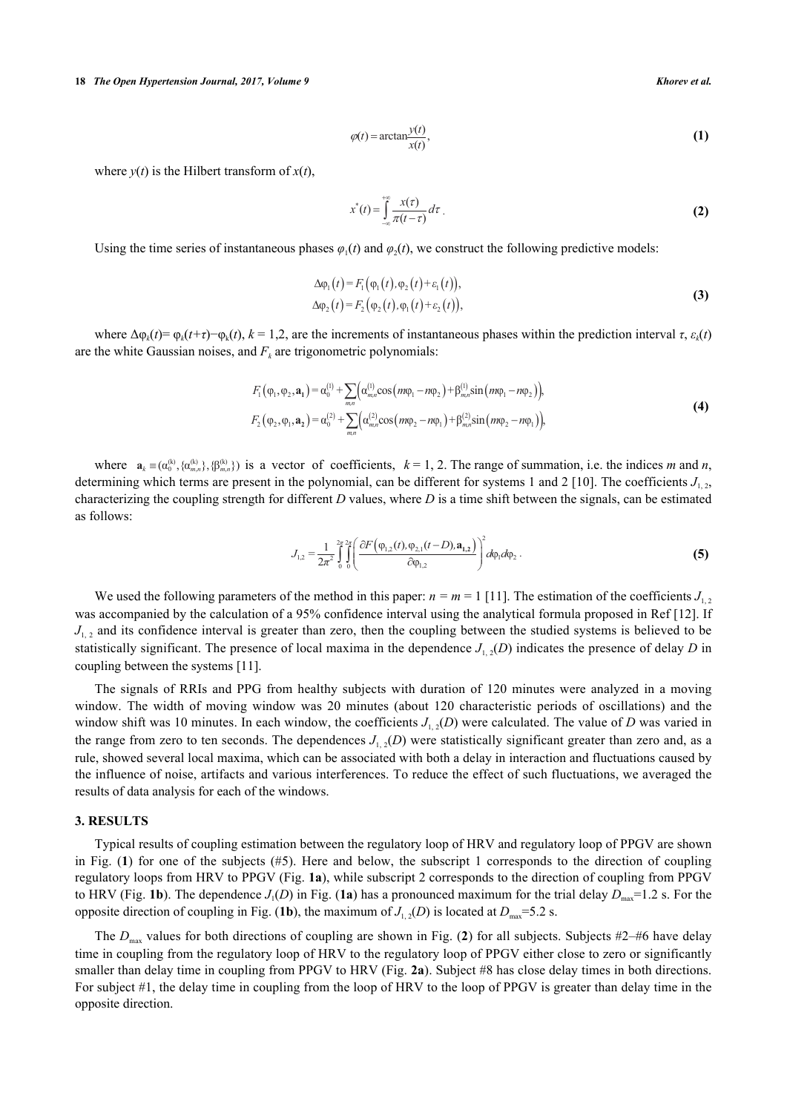$$
\varphi(t) = \arctan\frac{y(t)}{x(t)},\tag{1}
$$

where  $v(t)$  is the Hilbert transform of  $x(t)$ ,

$$
x^*(t) = \int_{-\infty}^{+\infty} \frac{x(\tau)}{\pi(t-\tau)} d\tau
$$
 (2)

Using the time series of instantaneous phases  $\varphi_1(t)$  and  $\varphi_2(t)$ , we construct the following predictive models:

$$
\Delta \varphi_1(t) = F_1(\varphi_1(t), \varphi_2(t) + \varepsilon_1(t)), \n\Delta \varphi_2(t) = F_2(\varphi_2(t), \varphi_1(t) + \varepsilon_2(t)),
$$
\n(3)

where  $\Delta \varphi_k(t) = \varphi_k(t+\tau) - \varphi_k(t)$ ,  $k = 1, 2$ , are the increments of instantaneous phases within the prediction interval  $\tau$ ,  $\varepsilon_k(t)$ are the white Gaussian noises, and  $F_k$  are trigonometric polynomials:

$$
F_1(\varphi_1, \varphi_2, \mathbf{a}_1) = \alpha_0^{(1)} + \sum_{mn} \left( \alpha_{mn}^{(1)} \cos(m\varphi_1 - n\varphi_2) + \beta_{mn}^{(1)} \sin(m\varphi_1 - n\varphi_2) \right),
$$
  
\n
$$
F_2(\varphi_2, \varphi_1, \mathbf{a}_2) = \alpha_0^{(2)} + \sum_{mn} \left( \alpha_{mn}^{(2)} \cos(m\varphi_2 - n\varphi_1) + \beta_{mn}^{(2)} \sin(m\varphi_2 - n\varphi_1) \right),
$$
\n(4)

where  $\mathbf{a}_k = (\alpha_0^{(k)}, \{\alpha_{m,n}^{(k)}\}, \{\beta_{m,n}^{(k)}\})$  is a vector of coefficients,  $k = 1, 2$ . The range of summation, i.e. the indices *m* and *n*, determining which terms are present in the polynomial, can be different for systems 1 and 2 [[10](#page-5-8)]. The coefficients  $J_{1,2}$ , characterizing the coupling strength for different *D* values, where *D* is a time shift between the signals, can be estimated as follows:

$$
J_{1,2} = \frac{1}{2\pi^2} \int_{0}^{2\pi} \int_{0}^{2\pi} \left( \frac{\partial F(\varphi_{1,2}(t), \varphi_{2,1}(t-D), \mathbf{a}_{1,2})}{\partial \varphi_{1,2}} \right)^2 d\varphi_1 d\varphi_2.
$$
 (5)

We used the following parameters of the method in this paper:  $n = m = 1$  [\[11](#page-5-10)]. The estimation of the coefficients  $J_{1,2}$ was accompanied by the calculation of a 95% confidence interval using the analytical formula proposed in Ref [\[12](#page-5-11)]. If  $J_{1,2}$  and its confidence interval is greater than zero, then the coupling between the studied systems is believed to be statistically significant. The presence of local maxima in the dependence  $J_{1,2}(D)$  indicates the presence of delay *D* in coupling between the systems [\[11](#page-5-10)].

The signals of RRIs and PPG from healthy subjects with duration of 120 minutes were analyzed in a moving window. The width of moving window was 20 minutes (about 120 characteristic periods of oscillations) and the window shift was 10 minutes. In each window, the coefficients  $J_{1,2}(D)$  were calculated. The value of *D* was varied in the range from zero to ten seconds. The dependences  $J_{1,2}(D)$  were statistically significant greater than zero and, as a rule, showed several local maxima, which can be associated with both a delay in interaction and fluctuations caused by the influence of noise, artifacts and various interferences. To reduce the effect of such fluctuations, we averaged the results of data analysis for each of the windows.

## **3. RESULTS**

Typical results of coupling estimation between the regulatory loop of HRV and regulatory loop of PPGV are shown in Fig. (**[1](#page-2-0)**) for one of the subjects (#5). Here and below, the subscript 1 corresponds to the direction of coupling regulatory loops from HRV to PPGV (Fig. **[1a](#page-2-0)**), while subscript 2 corresponds to the direction of coupling from PPGV to HRV (Fig. [1b](#page-2-0)). The dependence  $J_1(D)$  in Fig. ([1a](#page-2-0)) has a pronounced maximum for the trial delay  $D_{\text{max}}=1.2$  s. For the opposite direction of coupling in Fig. ([1b](#page-2-0)), the maximum of  $J_{1,2}(D)$  is located at  $D_{\text{max}}=5.2$  s.

<span id="page-2-0"></span>The  $D_{\text{max}}$  values for both directions of coupling are shown in Fig. ([2](#page-3-0)) for all subjects. Subjects #2–#6 have delay time in coupling from the regulatory loop of HRV to the regulatory loop of PPGV either close to zero or significantly smaller than delay time in coupling from PPGV to HRV (Fig. **[2a](#page-3-0)**). Subject #8 has close delay times in both directions. For subject #1, the delay time in coupling from the loop of HRV to the loop of PPGV is greater than delay time in the opposite direction.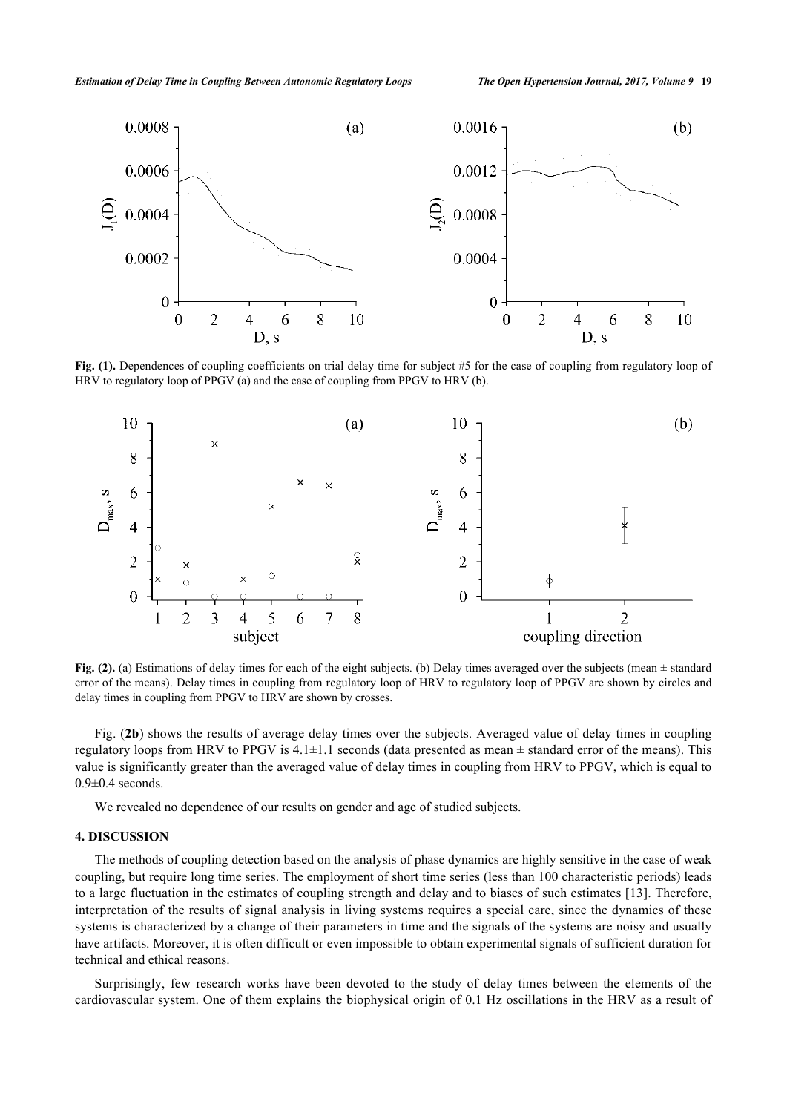

**Fig. (1).** Dependences of coupling coefficients on trial delay time for subject #5 for the case of coupling from regulatory loop of HRV to regulatory loop of PPGV (a) and the case of coupling from PPGV to HRV (b).

<span id="page-3-0"></span>

**Fig. (2).** (a) Estimations of delay times for each of the eight subjects. (b) Delay times averaged over the subjects (mean  $\pm$  standard error of the means). Delay times in coupling from regulatory loop of HRV to regulatory loop of PPGV are shown by circles and delay times in coupling from PPGV to HRV are shown by crosses.

Fig. (**[2b](#page-3-0)**) shows the results of average delay times over the subjects. Averaged value of delay times in coupling regulatory loops from HRV to PPGV is  $4.1 \pm 1.1$  seconds (data presented as mean  $\pm$  standard error of the means). This value is significantly greater than the averaged value of delay times in coupling from HRV to PPGV, which is equal to  $0.9\pm0.4$  seconds.

We revealed no dependence of our results on gender and age of studied subjects.

## **4. DISCUSSION**

The methods of coupling detection based on the analysis of phase dynamics are highly sensitive in the case of weak coupling, but require long time series. The employment of short time series (less than 100 characteristic periods) leads to a large fluctuation in the estimates of coupling strength and delay and to biases of such estimates [[13\]](#page-5-9). Therefore, interpretation of the results of signal analysis in living systems requires a special care, since the dynamics of these systems is characterized by a change of their parameters in time and the signals of the systems are noisy and usually have artifacts. Moreover, it is often difficult or even impossible to obtain experimental signals of sufficient duration for technical and ethical reasons.

Surprisingly, few research works have been devoted to the study of delay times between the elements of the cardiovascular system. One of them explains the biophysical origin of 0.1 Hz oscillations in the HRV as a result of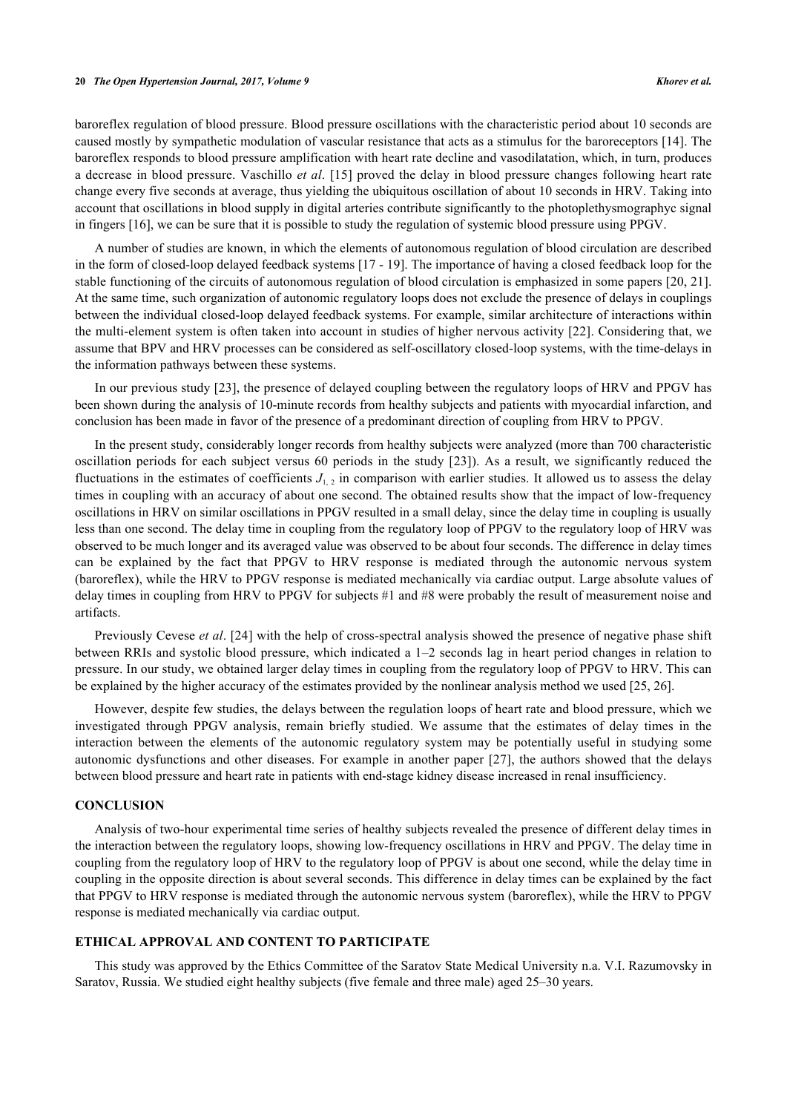#### **20** *The Open Hypertension Journal, 2017, Volume 9 Khorev et al.*

baroreflex regulation of blood pressure. Blood pressure oscillations with the characteristic period about 10 seconds are caused mostly by sympathetic modulation of vascular resistance that acts as a stimulus for the baroreceptors [\[14](#page-5-12)]. The baroreflex responds to blood pressure amplification with heart rate decline and vasodilatation, which, in turn, produces a decrease in blood pressure. Vaschillo *et al*. [[15](#page-6-0)] proved the delay in blood pressure changes following heart rate change every five seconds at average, thus yielding the ubiquitous oscillation of about 10 seconds in HRV. Taking into account that oscillations in blood supply in digital arteries contribute significantly to the photoplethysmographyc signal in fingers [[16\]](#page-6-1), we can be sure that it is possible to study the regulation of systemic blood pressure using PPGV.

A number of studies are known, in which the elements of autonomous regulation of blood circulation are described in the form of closed-loop delayed feedback systems [\[17](#page-6-2) - [19\]](#page-6-3). The importance of having a closed feedback loop for the stable functioning of the circuits of autonomous regulation of blood circulation is emphasized in some papers [\[20](#page-6-4), [21\]](#page-6-5). At the same time, such organization of autonomic regulatory loops does not exclude the presence of delays in couplings between the individual closed-loop delayed feedback systems. For example, similar architecture of interactions within the multi-element system is often taken into account in studies of higher nervous activity [\[22\]](#page-6-6). Considering that, we assume that BPV and HRV processes can be considered as self-oscillatory closed-loop systems, with the time-delays in the information pathways between these systems.

In our previous study [\[23\]](#page-6-7), the presence of delayed coupling between the regulatory loops of HRV and PPGV has been shown during the analysis of 10-minute records from healthy subjects and patients with myocardial infarction, and conclusion has been made in favor of the presence of a predominant direction of coupling from HRV to PPGV.

In the present study, considerably longer records from healthy subjects were analyzed (more than 700 characteristic oscillation periods for each subject versus 60 periods in the study [\[23\]](#page-6-7)). As a result, we significantly reduced the fluctuations in the estimates of coefficients  $J_{1,2}$  in comparison with earlier studies. It allowed us to assess the delay times in coupling with an accuracy of about one second. The obtained results show that the impact of low-frequency oscillations in HRV on similar oscillations in PPGV resulted in a small delay, since the delay time in coupling is usually less than one second. The delay time in coupling from the regulatory loop of PPGV to the regulatory loop of HRV was observed to be much longer and its averaged value was observed to be about four seconds. The difference in delay times can be explained by the fact that PPGV to HRV response is mediated through the autonomic nervous system (baroreflex), while the HRV to PPGV response is mediated mechanically via cardiac output. Large absolute values of delay times in coupling from HRV to PPGV for subjects #1 and #8 were probably the result of measurement noise and artifacts.

Previously Cevese *et al*. [[24\]](#page-6-8) with the help of cross-spectral analysis showed the presence of negative phase shift between RRIs and systolic blood pressure, which indicated a 1–2 seconds lag in heart period changes in relation to pressure. In our study, we obtained larger delay times in coupling from the regulatory loop of PPGV to HRV. This can be explained by the higher accuracy of the estimates provided by the nonlinear analysis method we used [[25,](#page-6-9) [26\]](#page-6-10).

However, despite few studies, the delays between the regulation loops of heart rate and blood pressure, which we investigated through PPGV analysis, remain briefly studied. We assume that the estimates of delay times in the interaction between the elements of the autonomic regulatory system may be potentially useful in studying some autonomic dysfunctions and other diseases. For example in another paper [\[27](#page-6-11)], the authors showed that the delays between blood pressure and heart rate in patients with end-stage kidney disease increased in renal insufficiency.

## **CONCLUSION**

Analysis of two-hour experimental time series of healthy subjects revealed the presence of different delay times in the interaction between the regulatory loops, showing low-frequency oscillations in HRV and PPGV. The delay time in coupling from the regulatory loop of HRV to the regulatory loop of PPGV is about one second, while the delay time in coupling in the opposite direction is about several seconds. This difference in delay times can be explained by the fact that PPGV to HRV response is mediated through the autonomic nervous system (baroreflex), while the HRV to PPGV response is mediated mechanically via cardiac output.

#### **ETHICAL APPROVAL AND CONTENT TO PARTICIPATE**

This study was approved by the Ethics Committee of the Saratov State Medical University n.a. V.I. Razumovsky in Saratov, Russia. We studied eight healthy subjects (five female and three male) aged 25–30 years.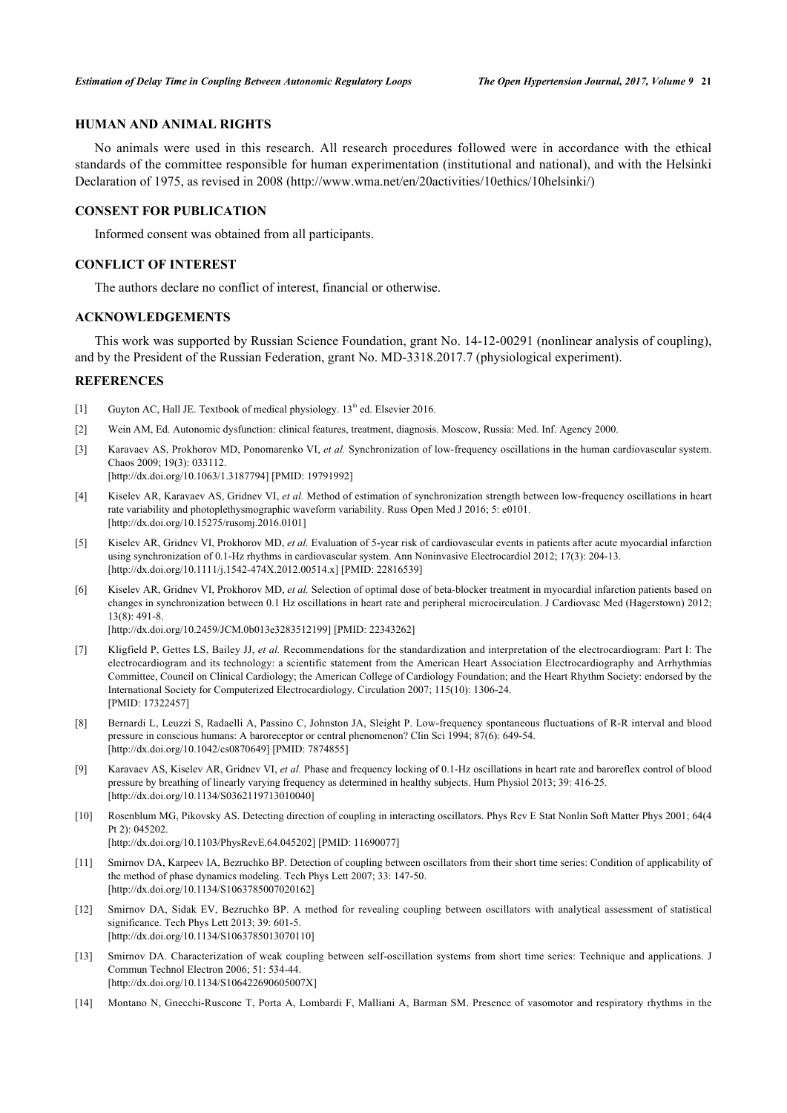## **HUMAN AND ANIMAL RIGHTS**

No animals were used in this research. All research procedures followed were in accordance with the ethical standards of the committee responsible for human experimentation (institutional and national), and with the Helsinki Declaration of 1975, as revised in 2008 ([http://www.wma.net/en/20activities/10ethics/10helsinki/\)](http://www.wma.net/en/20activities/10ethics/10helsinki/)

#### **CONSENT FOR PUBLICATION**

Informed consent was obtained from all participants.

#### **CONFLICT OF INTEREST**

The authors declare no conflict of interest, financial or otherwise.

#### **ACKNOWLEDGEMENTS**

This work was supported by Russian Science Foundation, grant No. 14-12-00291 (nonlinear analysis of coupling), and by the President of the Russian Federation, grant No. MD-3318.2017.7 (physiological experiment).

#### **REFERENCES**

- <span id="page-5-0"></span>[1] Guyton AC, Hall JE. Textbook of medical physiology.  $13<sup>th</sup>$  ed. Elsevier 2016.
- <span id="page-5-1"></span>[2] Wein AM, Ed. Autonomic dysfunction: clinical features, treatment, diagnosis. Moscow, Russia: Med. Inf. Agency 2000.
- <span id="page-5-2"></span>[3] Karavaev AS, Prokhorov MD, Ponomarenko VI, *et al.* Synchronization of low-frequency oscillations in the human cardiovascular system. Chaos 2009; 19(3): 033112.
	- [\[http://dx.doi.org/10.1063/1.3187794\]](http://dx.doi.org/10.1063/1.3187794) [PMID: [19791992](http://www.ncbi.nlm.nih.gov/pubmed/19791992)]
- <span id="page-5-3"></span>[4] Kiselev AR, Karavaev AS, Gridnev VI, *et al.* Method of estimation of synchronization strength between low-frequency oscillations in heart rate variability and photoplethysmographic waveform variability. Russ Open Med J 2016; 5: e0101. [\[http://dx.doi.org/10.15275/rusomj.2016.0101](http://dx.doi.org/10.15275/rusomj.2016.0101)]
- [5] Kiselev AR, Gridnev VI, Prokhorov MD, *et al.* Evaluation of 5-year risk of cardiovascular events in patients after acute myocardial infarction using synchronization of 0.1-Hz rhythms in cardiovascular system. Ann Noninvasive Electrocardiol 2012; 17(3): 204-13. [\[http://dx.doi.org/10.1111/j.1542-474X.2012.00514.x](http://dx.doi.org/10.1111/j.1542-474X.2012.00514.x)] [PMID: [22816539](http://www.ncbi.nlm.nih.gov/pubmed/22816539)]
- <span id="page-5-4"></span>[6] Kiselev AR, Gridnev VI, Prokhorov MD, *et al.* Selection of optimal dose of beta-blocker treatment in myocardial infarction patients based on changes in synchronization between 0.1 Hz oscillations in heart rate and peripheral microcirculation. J Cardiovasc Med (Hagerstown) 2012; 13(8): 491-8.

[\[http://dx.doi.org/10.2459/JCM.0b013e3283512199\]](http://dx.doi.org/10.2459/JCM.0b013e3283512199) [PMID: [22343262](http://www.ncbi.nlm.nih.gov/pubmed/22343262)]

- <span id="page-5-5"></span>[7] Kligfield P, Gettes LS, Bailey JJ, *et al.* Recommendations for the standardization and interpretation of the electrocardiogram: Part I: The electrocardiogram and its technology: a scientific statement from the American Heart Association Electrocardiography and Arrhythmias Committee, Council on Clinical Cardiology; the American College of Cardiology Foundation; and the Heart Rhythm Society: endorsed by the International Society for Computerized Electrocardiology. Circulation 2007; 115(10): 1306-24. [PMID: [17322457\]](http://www.ncbi.nlm.nih.gov/pubmed/17322457)
- <span id="page-5-6"></span>[8] Bernardi L, Leuzzi S, Radaelli A, Passino C, Johnston JA, Sleight P. Low-frequency spontaneous fluctuations of R-R interval and blood pressure in conscious humans: A baroreceptor or central phenomenon? Clin Sci 1994; 87(6): 649-54. [\[http://dx.doi.org/10.1042/cs0870649](http://dx.doi.org/10.1042/cs0870649)] [PMID: [7874855](http://www.ncbi.nlm.nih.gov/pubmed/7874855)]
- <span id="page-5-7"></span>[9] Karavaev AS, Kiselev AR, Gridnev VI, *et al.* Phase and frequency locking of 0.1-Hz oscillations in heart rate and baroreflex control of blood pressure by breathing of linearly varying frequency as determined in healthy subjects. Hum Physiol 2013; 39: 416-25. [\[http://dx.doi.org/10.1134/S0362119713010040](http://dx.doi.org/10.1134/S0362119713010040)]
- <span id="page-5-8"></span>[10] Rosenblum MG, Pikovsky AS. Detecting direction of coupling in interacting oscillators. Phys Rev E Stat Nonlin Soft Matter Phys 2001; 64(4 Pt 2): 045202.

[\[http://dx.doi.org/10.1103/PhysRevE.64.045202](http://dx.doi.org/10.1103/PhysRevE.64.045202)] [PMID: [11690077\]](http://www.ncbi.nlm.nih.gov/pubmed/11690077)

- <span id="page-5-10"></span>[11] Smirnov DA, Karpeev IA, Bezruchko BP. Detection of coupling between oscillators from their short time series: Condition of applicability of the method of phase dynamics modeling. Tech Phys Lett 2007; 33: 147-50. [\[http://dx.doi.org/10.1134/S1063785007020162](http://dx.doi.org/10.1134/S1063785007020162)]
- <span id="page-5-11"></span>[12] Smirnov DA, Sidak EV, Bezruchko BP. A method for revealing coupling between oscillators with analytical assessment of statistical significance. Tech Phys Lett 2013; 39: 601-5. [\[http://dx.doi.org/10.1134/S1063785013070110](http://dx.doi.org/10.1134/S1063785013070110)]
- <span id="page-5-9"></span>[13] Smirnov DA. Characterization of weak coupling between self-oscillation systems from short time series: Technique and applications. J Commun Technol Electron 2006; 51: 534-44. [\[http://dx.doi.org/10.1134/S106422690605007X](http://dx.doi.org/10.1134/S106422690605007X)]
- <span id="page-5-12"></span>[14] Montano N, Gnecchi-Ruscone T, Porta A, Lombardi F, Malliani A, Barman SM. Presence of vasomotor and respiratory rhythms in the